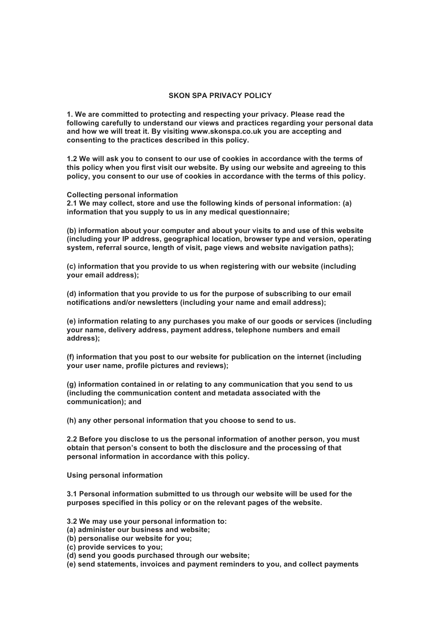## **SKON SPA PRIVACY POLICY**

**1. We are committed to protecting and respecting your privacy. Please read the following carefully to understand our views and practices regarding your personal data and how we will treat it. By visiting www.skonspa.co.uk you are accepting and consenting to the practices described in this policy.** 

**1.2 We will ask you to consent to our use of cookies in accordance with the terms of this policy when you first visit our website. By using our website and agreeing to this policy, you consent to our use of cookies in accordance with the terms of this policy.** 

**Collecting personal information**

**2.1 We may collect, store and use the following kinds of personal information: (a) information that you supply to us in any medical questionnaire;** 

**(b) information about your computer and about your visits to and use of this website (including your IP address, geographical location, browser type and version, operating system, referral source, length of visit, page views and website navigation paths);** 

**(c) information that you provide to us when registering with our website (including your email address);** 

**(d) information that you provide to us for the purpose of subscribing to our email notifications and/or newsletters (including your name and email address);** 

**(e) information relating to any purchases you make of our goods or services (including your name, delivery address, payment address, telephone numbers and email address);** 

**(f) information that you post to our website for publication on the internet (including your user name, profile pictures and reviews);** 

**(g) information contained in or relating to any communication that you send to us (including the communication content and metadata associated with the communication); and** 

**(h) any other personal information that you choose to send to us.** 

**2.2 Before you disclose to us the personal information of another person, you must obtain that person's consent to both the disclosure and the processing of that personal information in accordance with this policy.** 

**Using personal information** 

**3.1 Personal information submitted to us through our website will be used for the purposes specified in this policy or on the relevant pages of the website.** 

**3.2 We may use your personal information to:**

- **(a) administer our business and website;**
- **(b) personalise our website for you;**
- **(c) provide services to you;**
- **(d) send you goods purchased through our website;**

**(e) send statements, invoices and payment reminders to you, and collect payments**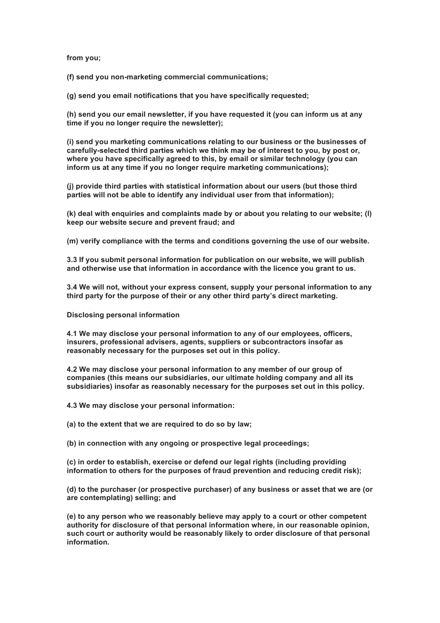**from you;** 

**(f) send you non-marketing commercial communications;** 

**(g) send you email notifications that you have specifically requested;** 

**(h) send you our email newsletter, if you have requested it (you can inform us at any time if you no longer require the newsletter);** 

**(i) send you marketing communications relating to our business or the businesses of carefully-selected third parties which we think may be of interest to you, by post or, where you have specifically agreed to this, by email or similar technology (you can inform us at any time if you no longer require marketing communications);** 

**(j) provide third parties with statistical information about our users (but those third parties will not be able to identify any individual user from that information);** 

**(k) deal with enquiries and complaints made by or about you relating to our website; (l) keep our website secure and prevent fraud; and** 

**(m) verify compliance with the terms and conditions governing the use of our website.** 

**3.3 If you submit personal information for publication on our website, we will publish and otherwise use that information in accordance with the licence you grant to us.** 

**3.4 We will not, without your express consent, supply your personal information to any third party for the purpose of their or any other third party's direct marketing.** 

**Disclosing personal information** 

**4.1 We may disclose your personal information to any of our employees, officers, insurers, professional advisers, agents, suppliers or subcontractors insofar as reasonably necessary for the purposes set out in this policy.** 

**4.2 We may disclose your personal information to any member of our group of companies (this means our subsidiaries, our ultimate holding company and all its subsidiaries) insofar as reasonably necessary for the purposes set out in this policy.** 

**4.3 We may disclose your personal information:** 

**(a) to the extent that we are required to do so by law;** 

**(b) in connection with any ongoing or prospective legal proceedings;** 

**(c) in order to establish, exercise or defend our legal rights (including providing information to others for the purposes of fraud prevention and reducing credit risk);** 

**(d) to the purchaser (or prospective purchaser) of any business or asset that we are (or are contemplating) selling; and** 

**(e) to any person who we reasonably believe may apply to a court or other competent authority for disclosure of that personal information where, in our reasonable opinion, such court or authority would be reasonably likely to order disclosure of that personal information.**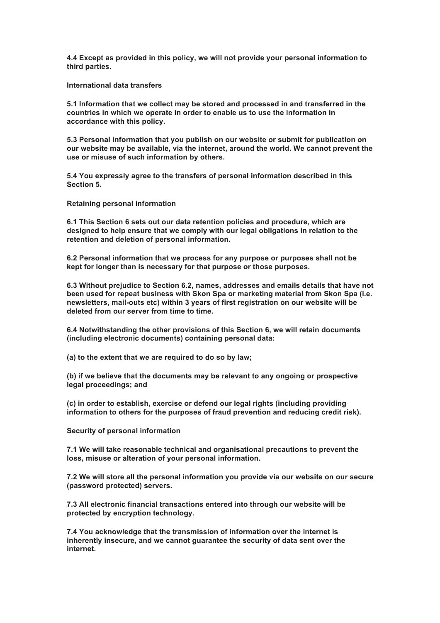**4.4 Except as provided in this policy, we will not provide your personal information to third parties.** 

**International data transfers** 

**5.1 Information that we collect may be stored and processed in and transferred in the countries in which we operate in order to enable us to use the information in accordance with this policy.** 

**5.3 Personal information that you publish on our website or submit for publication on our website may be available, via the internet, around the world. We cannot prevent the use or misuse of such information by others.** 

**5.4 You expressly agree to the transfers of personal information described in this Section 5.** 

**Retaining personal information** 

**6.1 This Section 6 sets out our data retention policies and procedure, which are designed to help ensure that we comply with our legal obligations in relation to the retention and deletion of personal information.** 

**6.2 Personal information that we process for any purpose or purposes shall not be kept for longer than is necessary for that purpose or those purposes.** 

**6.3 Without prejudice to Section 6.2, names, addresses and emails details that have not been used for repeat business with Skon Spa or marketing material from Skon Spa (i.e. newsletters, mail-outs etc) within 3 years of first registration on our website will be deleted from our server from time to time.** 

**6.4 Notwithstanding the other provisions of this Section 6, we will retain documents (including electronic documents) containing personal data:** 

**(a) to the extent that we are required to do so by law;** 

**(b) if we believe that the documents may be relevant to any ongoing or prospective legal proceedings; and** 

**(c) in order to establish, exercise or defend our legal rights (including providing information to others for the purposes of fraud prevention and reducing credit risk).** 

**Security of personal information** 

**7.1 We will take reasonable technical and organisational precautions to prevent the loss, misuse or alteration of your personal information.** 

**7.2 We will store all the personal information you provide via our website on our secure (password protected) servers.** 

**7.3 All electronic financial transactions entered into through our website will be protected by encryption technology.** 

**7.4 You acknowledge that the transmission of information over the internet is inherently insecure, and we cannot guarantee the security of data sent over the internet.**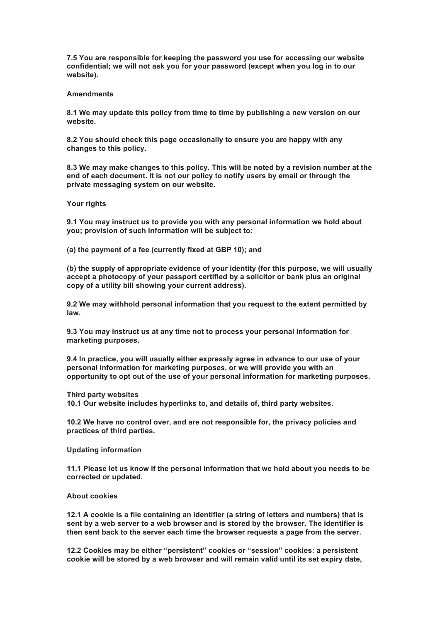**7.5 You are responsible for keeping the password you use for accessing our website confidential; we will not ask you for your password (except when you log in to our website).** 

## **Amendments**

**8.1 We may update this policy from time to time by publishing a new version on our website.** 

**8.2 You should check this page occasionally to ensure you are happy with any changes to this policy.** 

**8.3 We may make changes to this policy. This will be noted by a revision number at the end of each document. It is not our policy to notify users by email or through the private messaging system on our website.** 

**Your rights** 

**9.1 You may instruct us to provide you with any personal information we hold about you; provision of such information will be subject to:** 

**(a) the payment of a fee (currently fixed at GBP 10); and** 

**(b) the supply of appropriate evidence of your identity (for this purpose, we will usually accept a photocopy of your passport certified by a solicitor or bank plus an original copy of a utility bill showing your current address).** 

**9.2 We may withhold personal information that you request to the extent permitted by law.** 

**9.3 You may instruct us at any time not to process your personal information for marketing purposes.** 

**9.4 In practice, you will usually either expressly agree in advance to our use of your personal information for marketing purposes, or we will provide you with an opportunity to opt out of the use of your personal information for marketing purposes.** 

**Third party websites**

**10.1 Our website includes hyperlinks to, and details of, third party websites.** 

**10.2 We have no control over, and are not responsible for, the privacy policies and practices of third parties.** 

**Updating information** 

**11.1 Please let us know if the personal information that we hold about you needs to be corrected or updated.** 

## **About cookies**

**12.1 A cookie is a file containing an identifier (a string of letters and numbers) that is sent by a web server to a web browser and is stored by the browser. The identifier is then sent back to the server each time the browser requests a page from the server.** 

**12.2 Cookies may be either "persistent" cookies or "session" cookies: a persistent cookie will be stored by a web browser and will remain valid until its set expiry date,**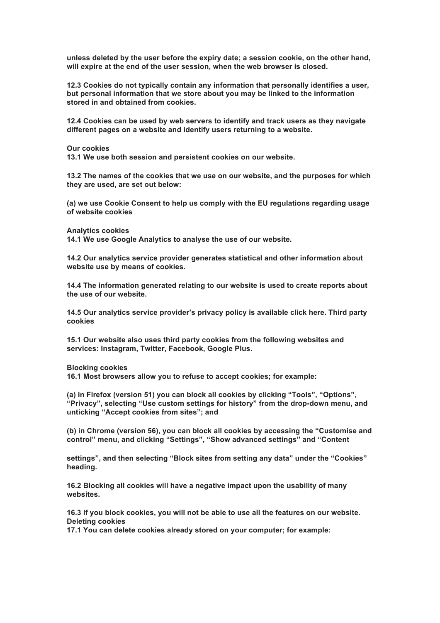**unless deleted by the user before the expiry date; a session cookie, on the other hand, will expire at the end of the user session, when the web browser is closed.** 

**12.3 Cookies do not typically contain any information that personally identifies a user, but personal information that we store about you may be linked to the information stored in and obtained from cookies.** 

**12.4 Cookies can be used by web servers to identify and track users as they navigate different pages on a website and identify users returning to a website.** 

**Our cookies**

**13.1 We use both session and persistent cookies on our website.** 

**13.2 The names of the cookies that we use on our website, and the purposes for which they are used, are set out below:** 

**(a) we use Cookie Consent to help us comply with the EU regulations regarding usage of website cookies** 

**Analytics cookies**

**14.1 We use Google Analytics to analyse the use of our website.** 

**14.2 Our analytics service provider generates statistical and other information about website use by means of cookies.** 

**14.4 The information generated relating to our website is used to create reports about the use of our website.** 

**14.5 Our analytics service provider's privacy policy is available click here. Third party cookies** 

**15.1 Our website also uses third party cookies from the following websites and services: Instagram, Twitter, Facebook, Google Plus.** 

**Blocking cookies**

**16.1 Most browsers allow you to refuse to accept cookies; for example:** 

**(a) in Firefox (version 51) you can block all cookies by clicking "Tools", "Options", "Privacy", selecting "Use custom settings for history" from the drop-down menu, and unticking "Accept cookies from sites"; and** 

**(b) in Chrome (version 56), you can block all cookies by accessing the "Customise and control" menu, and clicking "Settings", "Show advanced settings" and "Content** 

**settings", and then selecting "Block sites from setting any data" under the "Cookies" heading.** 

**16.2 Blocking all cookies will have a negative impact upon the usability of many websites.** 

**16.3 If you block cookies, you will not be able to use all the features on our website. Deleting cookies**

**17.1 You can delete cookies already stored on your computer; for example:**